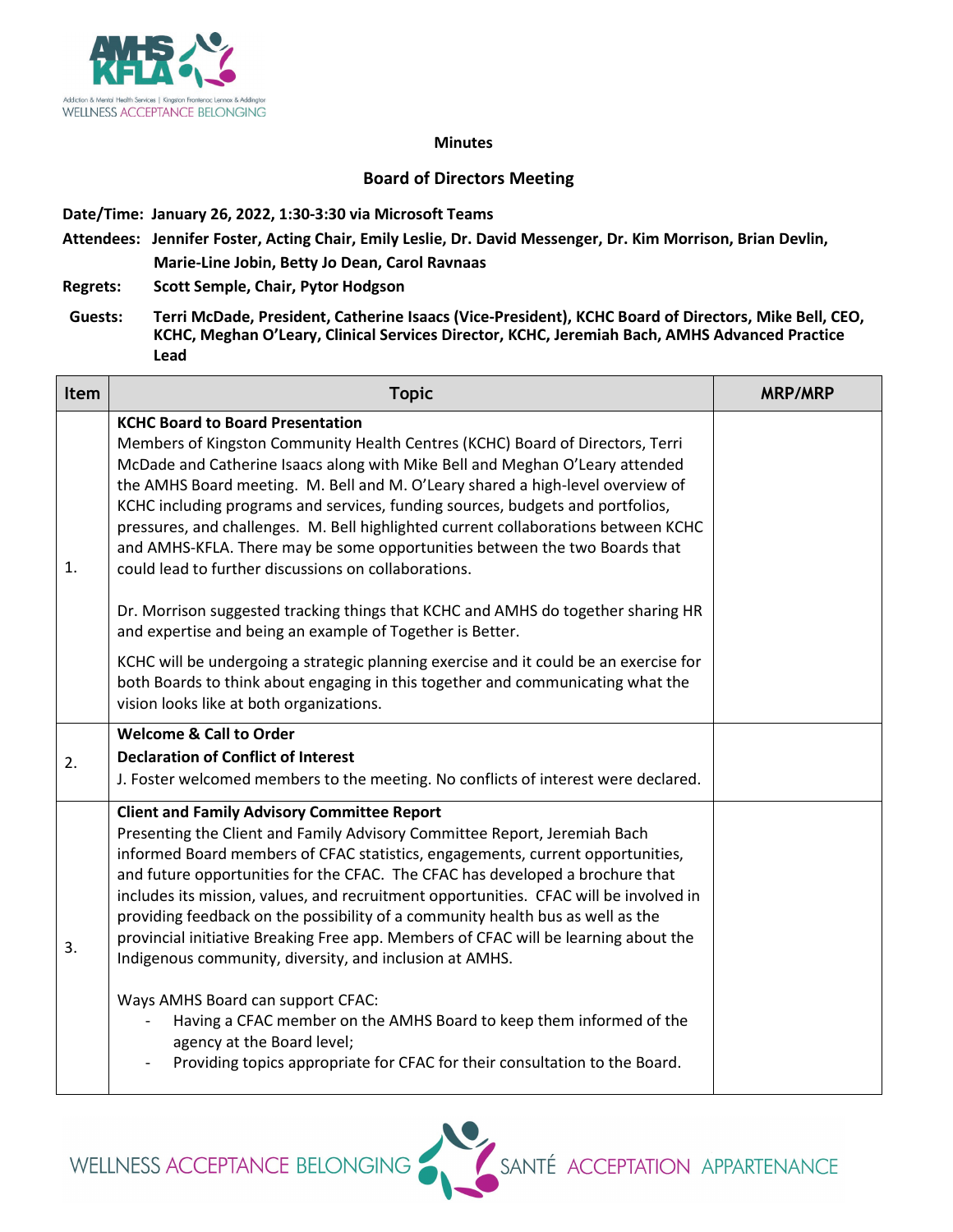

## **Minutes**

## **Board of Directors Meeting**

**Date/Time: January 26, 2022, 1:30-3:30 via Microsoft Teams**

**Attendees: Jennifer Foster, Acting Chair, Emily Leslie, Dr. David Messenger, Dr. Kim Morrison, Brian Devlin, Marie-Line Jobin, Betty Jo Dean, Carol Ravnaas**

**Regrets: Scott Semple, Chair, Pytor Hodgson**

**Guests: Terri McDade, President, Catherine Isaacs (Vice-President), KCHC Board of Directors, Mike Bell, CEO, KCHC, Meghan O'Leary, Clinical Services Director, KCHC, Jeremiah Bach, AMHS Advanced Practice Lead**

| <b>Item</b> | <b>Topic</b>                                                                                                                                                                                                                                                                                                                                                                                                                                                                                                                                                                                                                    | <b>MRP/MRP</b> |
|-------------|---------------------------------------------------------------------------------------------------------------------------------------------------------------------------------------------------------------------------------------------------------------------------------------------------------------------------------------------------------------------------------------------------------------------------------------------------------------------------------------------------------------------------------------------------------------------------------------------------------------------------------|----------------|
| 1.          | <b>KCHC Board to Board Presentation</b><br>Members of Kingston Community Health Centres (KCHC) Board of Directors, Terri<br>McDade and Catherine Isaacs along with Mike Bell and Meghan O'Leary attended<br>the AMHS Board meeting. M. Bell and M. O'Leary shared a high-level overview of<br>KCHC including programs and services, funding sources, budgets and portfolios,<br>pressures, and challenges. M. Bell highlighted current collaborations between KCHC<br>and AMHS-KFLA. There may be some opportunities between the two Boards that<br>could lead to further discussions on collaborations.                        |                |
|             | Dr. Morrison suggested tracking things that KCHC and AMHS do together sharing HR<br>and expertise and being an example of Together is Better.                                                                                                                                                                                                                                                                                                                                                                                                                                                                                   |                |
|             | KCHC will be undergoing a strategic planning exercise and it could be an exercise for<br>both Boards to think about engaging in this together and communicating what the<br>vision looks like at both organizations.                                                                                                                                                                                                                                                                                                                                                                                                            |                |
| 2.          | <b>Welcome &amp; Call to Order</b><br><b>Declaration of Conflict of Interest</b><br>J. Foster welcomed members to the meeting. No conflicts of interest were declared.                                                                                                                                                                                                                                                                                                                                                                                                                                                          |                |
| 3.          | <b>Client and Family Advisory Committee Report</b><br>Presenting the Client and Family Advisory Committee Report, Jeremiah Bach<br>informed Board members of CFAC statistics, engagements, current opportunities,<br>and future opportunities for the CFAC. The CFAC has developed a brochure that<br>includes its mission, values, and recruitment opportunities. CFAC will be involved in<br>providing feedback on the possibility of a community health bus as well as the<br>provincial initiative Breaking Free app. Members of CFAC will be learning about the<br>Indigenous community, diversity, and inclusion at AMHS. |                |
|             | Ways AMHS Board can support CFAC:<br>Having a CFAC member on the AMHS Board to keep them informed of the<br>agency at the Board level;<br>Providing topics appropriate for CFAC for their consultation to the Board.                                                                                                                                                                                                                                                                                                                                                                                                            |                |

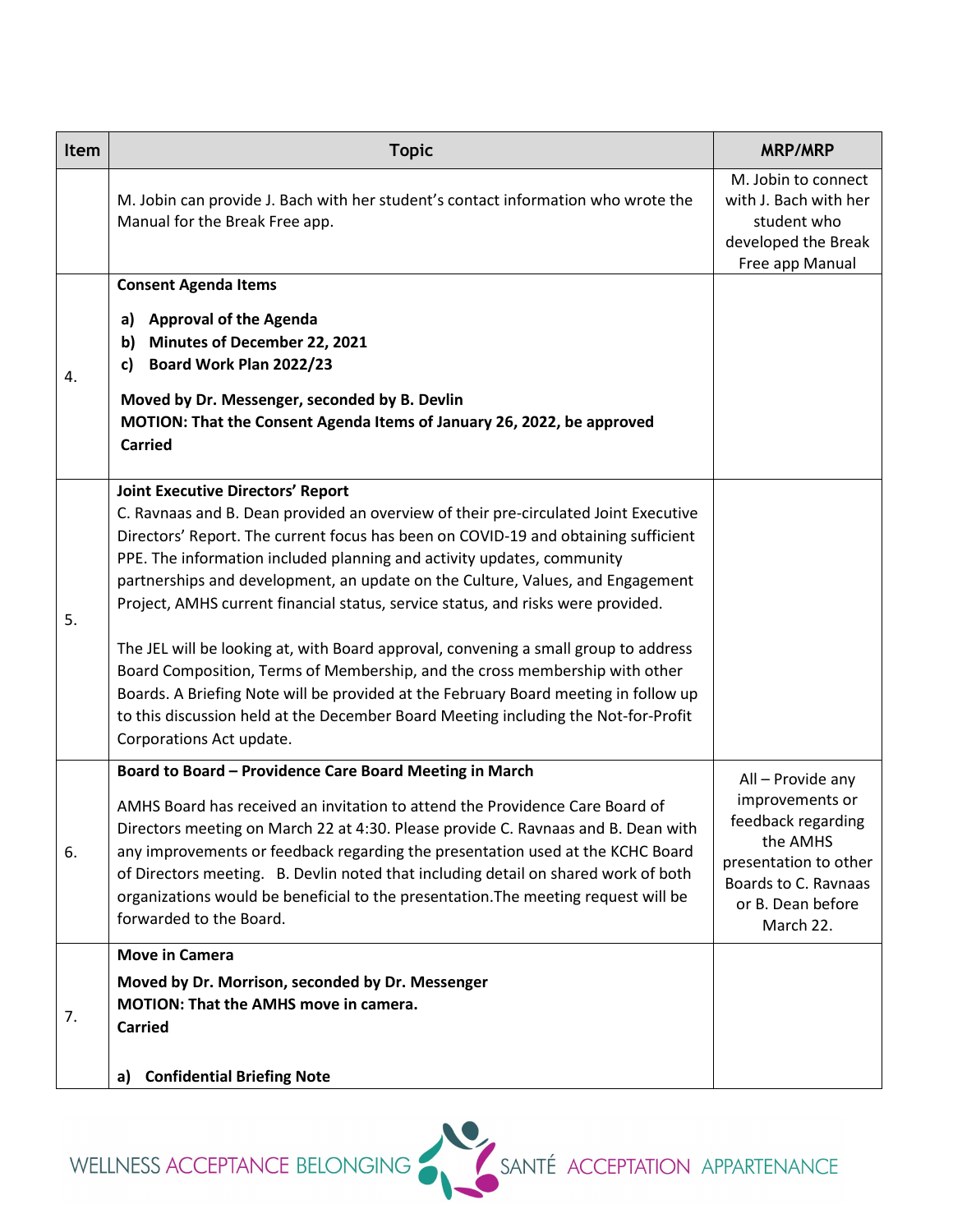| <b>Item</b> | <b>Topic</b>                                                                                                                                                                                                                                                                                                                                                                                                                                                                                                                                                                                                                                                                                                                                                                                                                                         | <b>MRP/MRP</b>                                                                                                                                            |
|-------------|------------------------------------------------------------------------------------------------------------------------------------------------------------------------------------------------------------------------------------------------------------------------------------------------------------------------------------------------------------------------------------------------------------------------------------------------------------------------------------------------------------------------------------------------------------------------------------------------------------------------------------------------------------------------------------------------------------------------------------------------------------------------------------------------------------------------------------------------------|-----------------------------------------------------------------------------------------------------------------------------------------------------------|
|             | M. Jobin can provide J. Bach with her student's contact information who wrote the<br>Manual for the Break Free app.                                                                                                                                                                                                                                                                                                                                                                                                                                                                                                                                                                                                                                                                                                                                  | M. Jobin to connect<br>with J. Bach with her<br>student who<br>developed the Break<br>Free app Manual                                                     |
| 4.          | <b>Consent Agenda Items</b><br><b>Approval of the Agenda</b><br>a)<br><b>Minutes of December 22, 2021</b><br>b)<br>Board Work Plan 2022/23<br>c)<br>Moved by Dr. Messenger, seconded by B. Devlin<br>MOTION: That the Consent Agenda Items of January 26, 2022, be approved<br><b>Carried</b>                                                                                                                                                                                                                                                                                                                                                                                                                                                                                                                                                        |                                                                                                                                                           |
| 5.          | <b>Joint Executive Directors' Report</b><br>C. Ravnaas and B. Dean provided an overview of their pre-circulated Joint Executive<br>Directors' Report. The current focus has been on COVID-19 and obtaining sufficient<br>PPE. The information included planning and activity updates, community<br>partnerships and development, an update on the Culture, Values, and Engagement<br>Project, AMHS current financial status, service status, and risks were provided.<br>The JEL will be looking at, with Board approval, convening a small group to address<br>Board Composition, Terms of Membership, and the cross membership with other<br>Boards. A Briefing Note will be provided at the February Board meeting in follow up<br>to this discussion held at the December Board Meeting including the Not-for-Profit<br>Corporations Act update. |                                                                                                                                                           |
| 6.          | Board to Board - Providence Care Board Meeting in March<br>AMHS Board has received an invitation to attend the Providence Care Board of<br>Directors meeting on March 22 at 4:30. Please provide C. Ravnaas and B. Dean with<br>any improvements or feedback regarding the presentation used at the KCHC Board<br>of Directors meeting. B. Devlin noted that including detail on shared work of both<br>organizations would be beneficial to the presentation. The meeting request will be<br>forwarded to the Board.                                                                                                                                                                                                                                                                                                                                | All - Provide any<br>improvements or<br>feedback regarding<br>the AMHS<br>presentation to other<br>Boards to C. Ravnaas<br>or B. Dean before<br>March 22. |
| 7.          | <b>Move in Camera</b><br>Moved by Dr. Morrison, seconded by Dr. Messenger<br>MOTION: That the AMHS move in camera.<br><b>Carried</b><br><b>Confidential Briefing Note</b><br>a)                                                                                                                                                                                                                                                                                                                                                                                                                                                                                                                                                                                                                                                                      |                                                                                                                                                           |